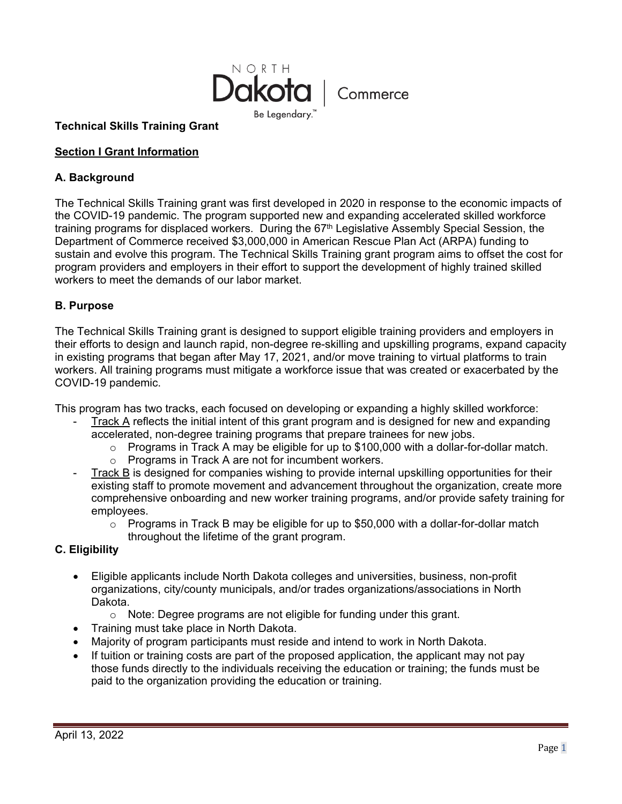

### **Technical Skills Training Grant**

### **Section I Grant Information**

### **A. Background**

The Technical Skills Training grant was first developed in 2020 in response to the economic impacts of the COVID-19 pandemic. The program supported new and expanding accelerated skilled workforce training programs for displaced workers. During the 67<sup>th</sup> Legislative Assembly Special Session, the Department of Commerce received \$3,000,000 in American Rescue Plan Act (ARPA) funding to sustain and evolve this program. The Technical Skills Training grant program aims to offset the cost for program providers and employers in their effort to support the development of highly trained skilled workers to meet the demands of our labor market.

### **B. Purpose**

The Technical Skills Training grant is designed to support eligible training providers and employers in their efforts to design and launch rapid, non-degree re-skilling and upskilling programs, expand capacity in existing programs that began after May 17, 2021, and/or move training to virtual platforms to train workers. All training programs must mitigate a workforce issue that was created or exacerbated by the COVID-19 pandemic.

This program has two tracks, each focused on developing or expanding a highly skilled workforce:

- Track A reflects the initial intent of this grant program and is designed for new and expanding accelerated, non-degree training programs that prepare trainees for new jobs.
	- $\circ$  Programs in Track A may be eligible for up to \$100,000 with a dollar-for-dollar match.
	- o Programs in Track A are not for incumbent workers.
- Track B is designed for companies wishing to provide internal upskilling opportunities for their existing staff to promote movement and advancement throughout the organization, create more comprehensive onboarding and new worker training programs, and/or provide safety training for employees.
	- $\circ$  Programs in Track B may be eligible for up to \$50,000 with a dollar-for-dollar match throughout the lifetime of the grant program.

# **C. Eligibility**

- Eligible applicants include North Dakota colleges and universities, business, non-profit organizations, city/county municipals, and/or trades organizations/associations in North Dakota.
	- o Note: Degree programs are not eligible for funding under this grant.
- Training must take place in North Dakota.
- Majority of program participants must reside and intend to work in North Dakota.
- If tuition or training costs are part of the proposed application, the applicant may not pay those funds directly to the individuals receiving the education or training; the funds must be paid to the organization providing the education or training.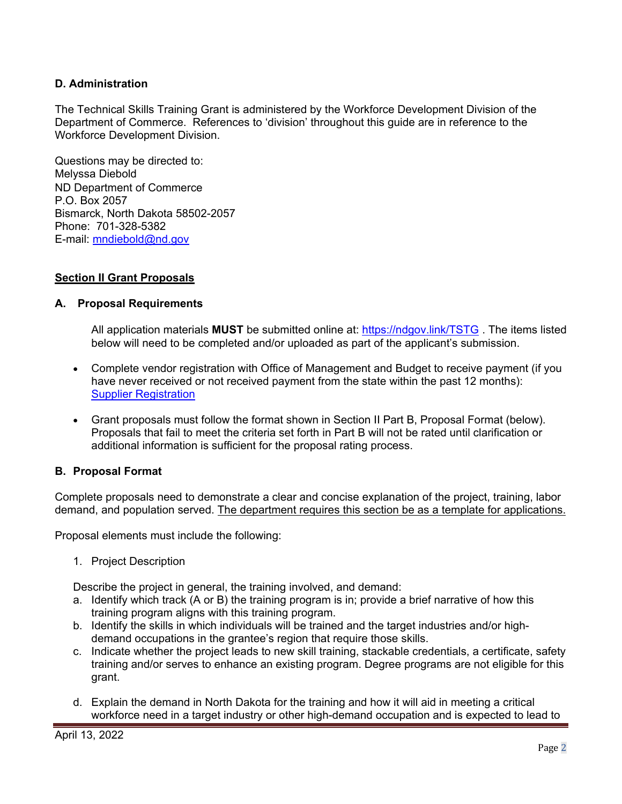## **D. Administration**

The Technical Skills Training Grant is administered by the Workforce Development Division of the Department of Commerce. References to 'division' throughout this guide are in reference to the Workforce Development Division.

Questions may be directed to: Melyssa Diebold ND Department of Commerce P.O. Box 2057 Bismarck, North Dakota 58502-2057 Phone: 701-328-5382 E-mail: [mndiebold@nd.gov](mailto:mndiebold@nd.gov)

#### **Section II Grant Proposals**

#### **A. Proposal Requirements**

All application materials **MUST** be submitted online at: [https://ndgov.link/TSTG](https://gcc02.safelinks.protection.outlook.com/?url=https%3A%2F%2Fndgov.link%2FTSTG&data=04%7C01%7Ckeralston%40nd.gov%7C7e0163b8b39146a24d0908da1d54e7c9%7C2dea0464da514a88bae2b3db94bc0c54%7C0%7C0%7C637854547743464467%7CUnknown%7CTWFpbGZsb3d8eyJWIjoiMC4wLjAwMDAiLCJQIjoiV2luMzIiLCJBTiI6Ik1haWwiLCJXVCI6Mn0%3D%7C3000&sdata=ceADKxb2U40a8H2asvLEsgEK2Aw0rVxlx1GKDZVEINs%3D&reserved=0) . The items listed below will need to be completed and/or uploaded as part of the applicant's submission.

- Complete vendor registration with Office of Management and Budget to receive payment (if you have never received or not received payment from the state within the past 12 months): [Supplier Registration](https://www.cnd.nd.gov/psp/supplier_1/SUPPLIER/ERP/c/SUP_OB_MENU.AUC_BIDDER_REGISTR.GBL?Action=U&SUP_OB_TEMPLATE_ID=SUPPLIER)
- Grant proposals must follow the format shown in Section II Part B, Proposal Format (below). Proposals that fail to meet the criteria set forth in Part B will not be rated until clarification or additional information is sufficient for the proposal rating process.

### **B. Proposal Format**

Complete proposals need to demonstrate a clear and concise explanation of the project, training, labor demand, and population served. The department requires this section be as a template for applications.

Proposal elements must include the following:

1. Project Description

Describe the project in general, the training involved, and demand:

- a. Identify which track (A or B) the training program is in; provide a brief narrative of how this training program aligns with this training program.
- b. Identify the skills in which individuals will be trained and the target industries and/or highdemand occupations in the grantee's region that require those skills.
- c. Indicate whether the project leads to new skill training, stackable credentials, a certificate, safety training and/or serves to enhance an existing program. Degree programs are not eligible for this grant.
- d. Explain the demand in North Dakota for the training and how it will aid in meeting a critical workforce need in a target industry or other high-demand occupation and is expected to lead to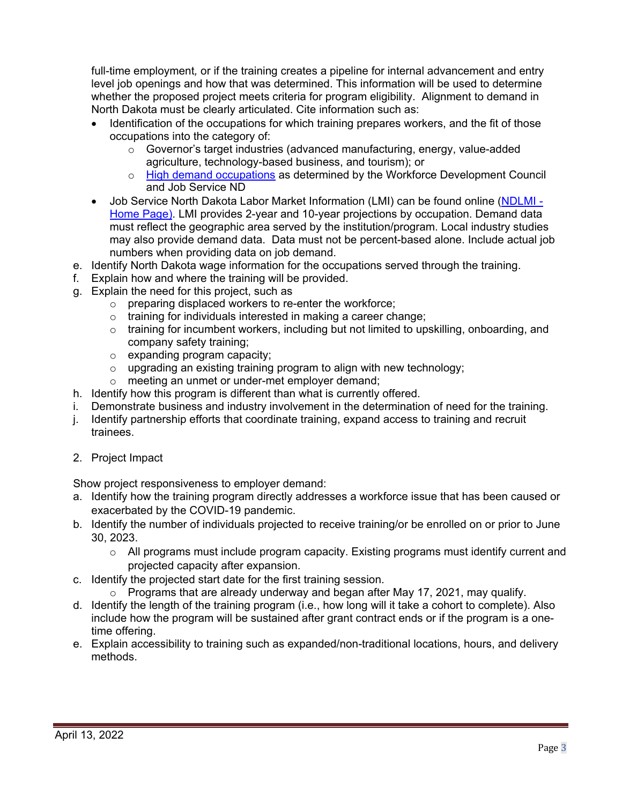full-time employment*,* or if the training creates a pipeline for internal advancement and entry level job openings and how that was determined. This information will be used to determine whether the proposed project meets criteria for program eligibility. Alignment to demand in North Dakota must be clearly articulated. Cite information such as:

- Identification of the occupations for which training prepares workers, and the fit of those occupations into the category of:
	- $\circ$  Governor's target industries (advanced manufacturing, energy, value-added agriculture, technology-based business, and tourism); or
	- o [High demand occupations](https://workforce.nd.gov/uploads/22/InDemandOccupationsList.pdf) as determined by the Workforce Development Council and Job Service ND
- Job Service North Dakota Labor Market Information (LMI) can be found online (NDLMI -[Home Page\).](https://www.ndlmi.com/) LMI provides 2-year and 10-year projections by occupation. Demand data must reflect the geographic area served by the institution/program. Local industry studies may also provide demand data. Data must not be percent-based alone. Include actual job numbers when providing data on job demand.
- e. Identify North Dakota wage information for the occupations served through the training.
- f. Explain how and where the training will be provided.
- g. Explain the need for this project, such as
	- o preparing displaced workers to re-enter the workforce;
	- o training for individuals interested in making a career change;
	- o training for incumbent workers, including but not limited to upskilling, onboarding, and company safety training;
	- o expanding program capacity;
	- o upgrading an existing training program to align with new technology;
	- o meeting an unmet or under-met employer demand;
- h. Identify how this program is different than what is currently offered.
- i. Demonstrate business and industry involvement in the determination of need for the training.
- j. Identify partnership efforts that coordinate training, expand access to training and recruit trainees.
- 2. Project Impact

Show project responsiveness to employer demand:

- a. Identify how the training program directly addresses a workforce issue that has been caused or exacerbated by the COVID-19 pandemic.
- b. Identify the number of individuals projected to receive training/or be enrolled on or prior to June 30, 2023.
	- o All programs must include program capacity. Existing programs must identify current and projected capacity after expansion.
- c. Identify the projected start date for the first training session.
	- o Programs that are already underway and began after May 17, 2021, may qualify.
- d. Identify the length of the training program (i.e., how long will it take a cohort to complete). Also include how the program will be sustained after grant contract ends or if the program is a onetime offering.
- e. Explain accessibility to training such as expanded/non-traditional locations, hours, and delivery methods.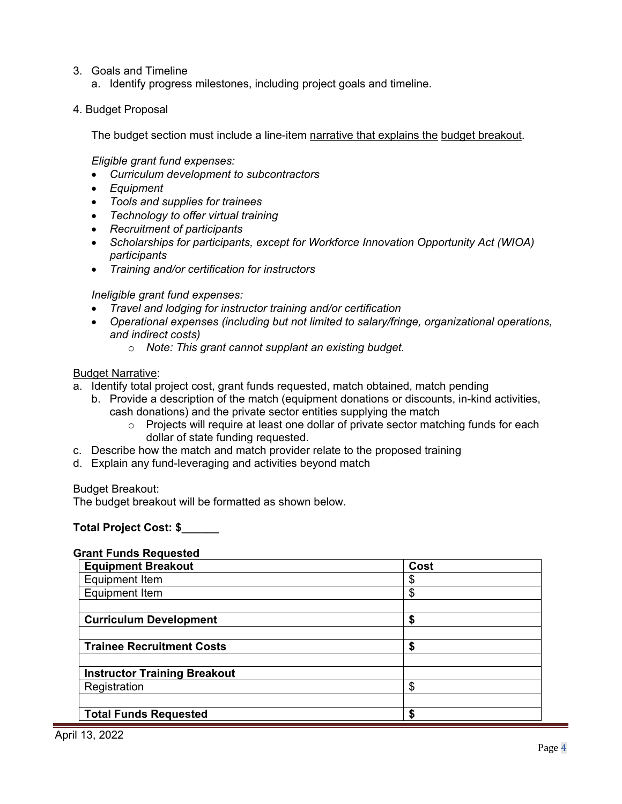- 3. Goals and Timeline
	- a. Identify progress milestones, including project goals and timeline.
- 4. Budget Proposal

The budget section must include a line-item narrative that explains the budget breakout.

#### *Eligible grant fund expenses:*

- *Curriculum development to subcontractors*
- *Equipment*
- *Tools and supplies for trainees*
- *Technology to offer virtual training*
- *Recruitment of participants*
- *Scholarships for participants, except for Workforce Innovation Opportunity Act (WIOA) participants*
- *Training and/or certification for instructors*

#### *Ineligible grant fund expenses:*

- *Travel and lodging for instructor training and/or certification*
- *Operational expenses (including but not limited to salary/fringe, organizational operations, and indirect costs)*
	- o *Note: This grant cannot supplant an existing budget.*

#### Budget Narrative:

- a. Identify total project cost, grant funds requested, match obtained, match pending
	- b. Provide a description of the match (equipment donations or discounts, in-kind activities, cash donations) and the private sector entities supplying the match
		- o Projects will require at least one dollar of private sector matching funds for each dollar of state funding requested.
- c. Describe how the match and match provider relate to the proposed training
- d. Explain any fund-leveraging and activities beyond match

Budget Breakout:

The budget breakout will be formatted as shown below.

### **Total Project Cost: \$\_\_\_\_\_\_**

### **Grant Funds Requested**

| <b>Equipment Breakout</b>           | Cost |  |
|-------------------------------------|------|--|
| Equipment Item                      | \$   |  |
| Equipment Item                      | \$   |  |
|                                     |      |  |
| <b>Curriculum Development</b>       | \$   |  |
|                                     |      |  |
| <b>Trainee Recruitment Costs</b>    | \$   |  |
|                                     |      |  |
| <b>Instructor Training Breakout</b> |      |  |
| Registration                        | \$   |  |
|                                     |      |  |
| <b>Total Funds Requested</b>        | \$   |  |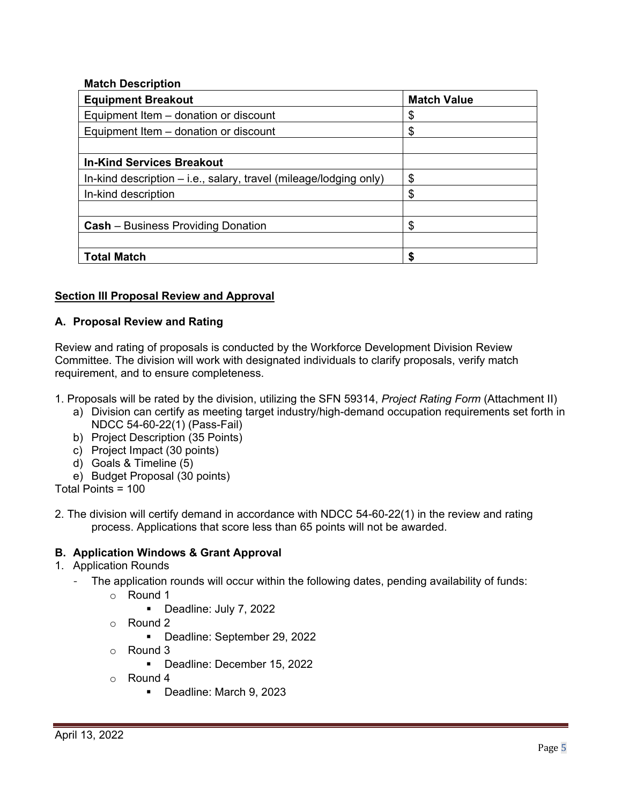## **Match Description**

| <b>Equipment Breakout</b>                                           | <b>Match Value</b> |
|---------------------------------------------------------------------|--------------------|
| Equipment Item - donation or discount                               | \$                 |
| Equipment Item – donation or discount                               | \$                 |
|                                                                     |                    |
| <b>In-Kind Services Breakout</b>                                    |                    |
| In-kind description $-$ i.e., salary, travel (mileage/lodging only) | \$                 |
| In-kind description                                                 | \$                 |
|                                                                     |                    |
| <b>Cash</b> – Business Providing Donation                           | \$                 |
|                                                                     |                    |
| <b>Total Match</b>                                                  | S                  |

# **Section III Proposal Review and Approval**

# **A. Proposal Review and Rating**

Review and rating of proposals is conducted by the Workforce Development Division Review Committee. The division will work with designated individuals to clarify proposals, verify match requirement, and to ensure completeness.

- 1. Proposals will be rated by the division, utilizing the SFN 59314, *Project Rating Form* (Attachment II)
	- a) Division can certify as meeting target industry/high-demand occupation requirements set forth in NDCC 54-60-22(1) (Pass-Fail)
	- b) Project Description (35 Points)
	- c) Project Impact (30 points)
	- d) Goals & Timeline (5)
	- e) Budget Proposal (30 points)

Total Points = 100

2. The division will certify demand in accordance with NDCC 54-60-22(1) in the review and rating process. Applications that score less than 65 points will not be awarded.

# **B. Application Windows & Grant Approval**

- 1. Application Rounds
	- The application rounds will occur within the following dates, pending availability of funds:
		- $\circ$  Round 1
			- Deadline: July 7, 2022
		- o Round 2
			- Deadline: September 29, 2022
		- $\circ$  Round 3
			- Deadline: December 15, 2022
		- $\circ$  Round 4
			- Deadline: March 9, 2023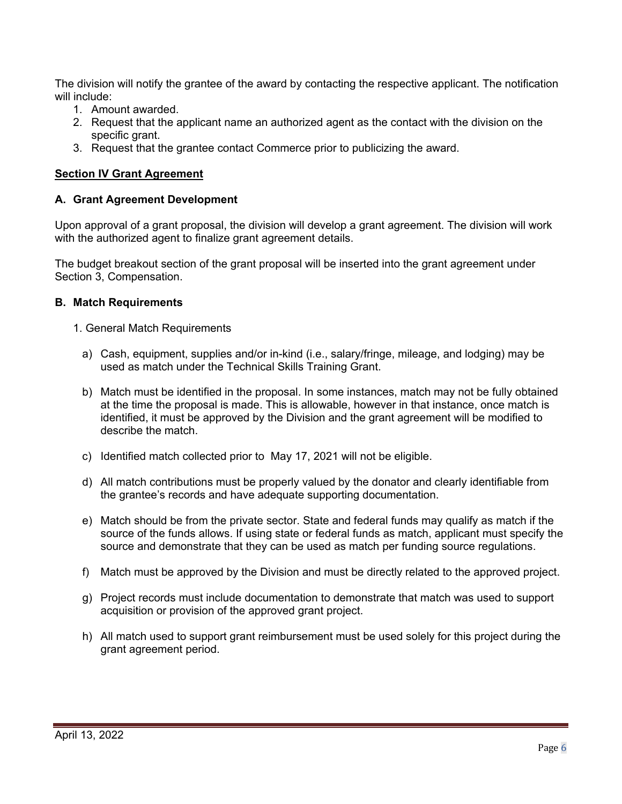The division will notify the grantee of the award by contacting the respective applicant. The notification will include:

- 1. Amount awarded.
- 2. Request that the applicant name an authorized agent as the contact with the division on the specific grant.
- 3. Request that the grantee contact Commerce prior to publicizing the award.

## **Section IV Grant Agreement**

### **A. Grant Agreement Development**

Upon approval of a grant proposal, the division will develop a grant agreement. The division will work with the authorized agent to finalize grant agreement details.

The budget breakout section of the grant proposal will be inserted into the grant agreement under Section 3, Compensation.

#### **B. Match Requirements**

- 1. General Match Requirements
	- a) Cash, equipment, supplies and/or in-kind (i.e., salary/fringe, mileage, and lodging) may be used as match under the Technical Skills Training Grant.
	- b) Match must be identified in the proposal. In some instances, match may not be fully obtained at the time the proposal is made. This is allowable, however in that instance, once match is identified, it must be approved by the Division and the grant agreement will be modified to describe the match.
	- c) Identified match collected prior to May 17, 2021 will not be eligible.
	- d) All match contributions must be properly valued by the donator and clearly identifiable from the grantee's records and have adequate supporting documentation.
	- e) Match should be from the private sector. State and federal funds may qualify as match if the source of the funds allows. If using state or federal funds as match, applicant must specify the source and demonstrate that they can be used as match per funding source regulations.
	- f) Match must be approved by the Division and must be directly related to the approved project.
	- g) Project records must include documentation to demonstrate that match was used to support acquisition or provision of the approved grant project.
	- h) All match used to support grant reimbursement must be used solely for this project during the grant agreement period.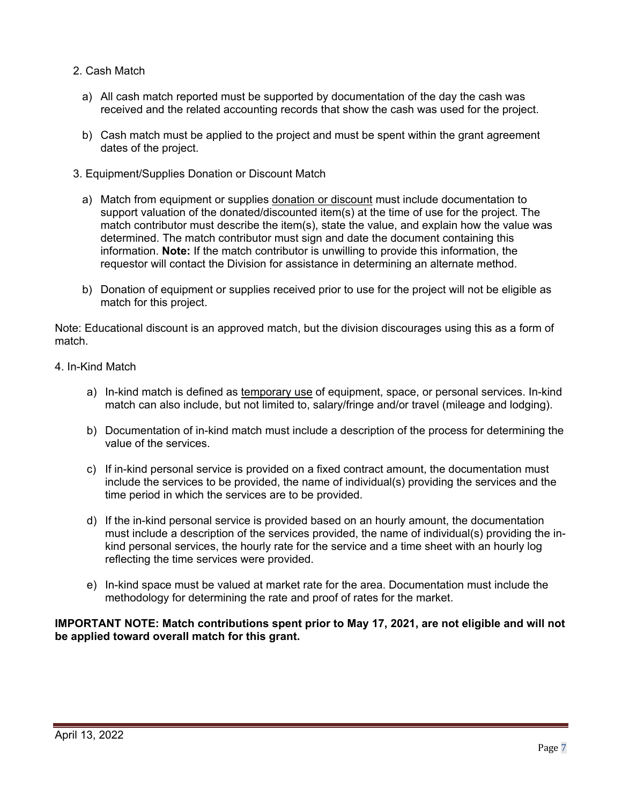- 2. Cash Match
	- a) All cash match reported must be supported by documentation of the day the cash was received and the related accounting records that show the cash was used for the project.
	- b) Cash match must be applied to the project and must be spent within the grant agreement dates of the project.
- 3. Equipment/Supplies Donation or Discount Match
	- a) Match from equipment or supplies donation or discount must include documentation to support valuation of the donated/discounted item(s) at the time of use for the project. The match contributor must describe the item(s), state the value, and explain how the value was determined. The match contributor must sign and date the document containing this information. **Note:** If the match contributor is unwilling to provide this information, the requestor will contact the Division for assistance in determining an alternate method.
	- b) Donation of equipment or supplies received prior to use for the project will not be eligible as match for this project.

Note: Educational discount is an approved match, but the division discourages using this as a form of match.

- 4. In-Kind Match
	- a) In-kind match is defined as temporary use of equipment, space, or personal services. In-kind match can also include, but not limited to, salary/fringe and/or travel (mileage and lodging).
	- b) Documentation of in-kind match must include a description of the process for determining the value of the services.
	- c) If in-kind personal service is provided on a fixed contract amount, the documentation must include the services to be provided, the name of individual(s) providing the services and the time period in which the services are to be provided.
	- d) If the in-kind personal service is provided based on an hourly amount, the documentation must include a description of the services provided, the name of individual(s) providing the inkind personal services, the hourly rate for the service and a time sheet with an hourly log reflecting the time services were provided.
	- e) In-kind space must be valued at market rate for the area. Documentation must include the methodology for determining the rate and proof of rates for the market.

**IMPORTANT NOTE: Match contributions spent prior to May 17, 2021, are not eligible and will not be applied toward overall match for this grant.**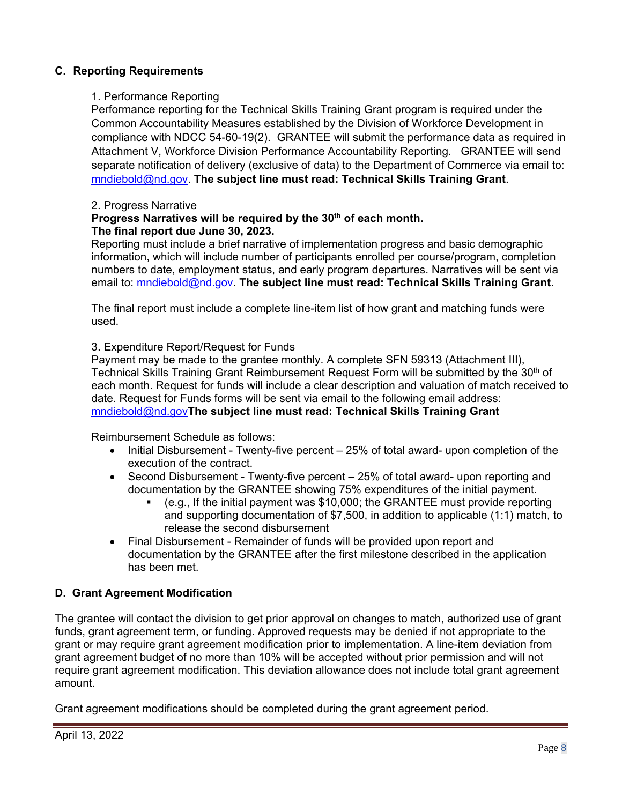## **C. Reporting Requirements**

### 1. Performance Reporting

Performance reporting for the Technical Skills Training Grant program is required under the Common Accountability Measures established by the Division of Workforce Development in compliance with NDCC 54-60-19(2). GRANTEE will submit the performance data as required in Attachment V, Workforce Division Performance Accountability Reporting. GRANTEE will send separate notification of delivery (exclusive of data) to the Department of Commerce via email to: [mndiebold@nd.gov.](mailto:mndiebold@nd.gov) **The subject line must read: Technical Skills Training Grant**.

### 2. Progress Narrative

#### **Progress Narratives will be required by the 30th of each month. The final report due June 30, 2023.**

Reporting must include a brief narrative of implementation progress and basic demographic information, which will include number of participants enrolled per course/program, completion numbers to date, employment status, and early program departures. Narratives will be sent via email to: [mndiebold@nd.gov.](mailto:mndiebold@nd.gov) **The subject line must read: Technical Skills Training Grant**.

The final report must include a complete line-item list of how grant and matching funds were used.

#### 3. Expenditure Report/Request for Funds

Payment may be made to the grantee monthly. A complete SFN 59313 (Attachment III), Technical Skills Training Grant Reimbursement Request Form will be submitted by the 30<sup>th</sup> of each month. Request for funds will include a clear description and valuation of match received to date. Request for Funds forms will be sent via email to the following email address: [mndiebold@nd.gov](mailto:mndiebold@nd.gov)**The subject line must read: Technical Skills Training Grant**

Reimbursement Schedule as follows:

- Initial Disbursement Twenty-five percent 25% of total award- upon completion of the execution of the contract.
- Second Disbursement Twenty-five percent 25% of total award- upon reporting and documentation by the GRANTEE showing 75% expenditures of the initial payment.
	- (e.g., If the initial payment was \$10,000; the GRANTEE must provide reporting and supporting documentation of \$7,500, in addition to applicable (1:1) match, to release the second disbursement
- Final Disbursement Remainder of funds will be provided upon report and documentation by the GRANTEE after the first milestone described in the application has been met.

### **D. Grant Agreement Modification**

The grantee will contact the division to get prior approval on changes to match, authorized use of grant funds, grant agreement term, or funding. Approved requests may be denied if not appropriate to the grant or may require grant agreement modification prior to implementation. A line-item deviation from grant agreement budget of no more than 10% will be accepted without prior permission and will not require grant agreement modification. This deviation allowance does not include total grant agreement amount.

Grant agreement modifications should be completed during the grant agreement period.